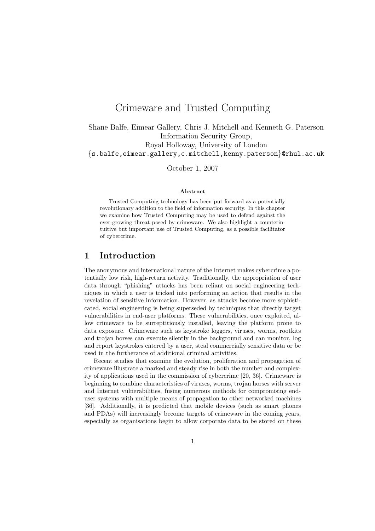# Crimeware and Trusted Computing

Shane Balfe, Eimear Gallery, Chris J. Mitchell and Kenneth G. Paterson Information Security Group, Royal Holloway, University of London {s.balfe,eimear.gallery,c.mitchell,kenny.paterson}@rhul.ac.uk

October 1, 2007

#### Abstract

Trusted Computing technology has been put forward as a potentially revolutionary addition to the field of information security. In this chapter we examine how Trusted Computing may be used to defend against the ever-growing threat posed by crimeware. We also highlight a counterintuitive but important use of Trusted Computing, as a possible facilitator of cybercrime.

# 1 Introduction

The anonymous and international nature of the Internet makes cybercrime a potentially low risk, high-return activity. Traditionally, the appropriation of user data through "phishing" attacks has been reliant on social engineering techniques in which a user is tricked into performing an action that results in the revelation of sensitive information. However, as attacks become more sophisticated, social engineering is being superseded by techniques that directly target vulnerabilities in end-user platforms. These vulnerabilities, once exploited, allow crimeware to be surreptitiously installed, leaving the platform prone to data exposure. Crimeware such as keystroke loggers, viruses, worms, rootkits and trojan horses can execute silently in the background and can monitor, log and report keystrokes entered by a user, steal commercially sensitive data or be used in the furtherance of additional criminal activities.

Recent studies that examine the evolution, proliferation and propagation of crimeware illustrate a marked and steady rise in both the number and complexity of applications used in the commission of cybercrime [20, 36]. Crimeware is beginning to combine characteristics of viruses, worms, trojan horses with server and Internet vulnerabilities, fusing numerous methods for compromising enduser systems with multiple means of propagation to other networked machines [36]. Additionally, it is predicted that mobile devices (such as smart phones and PDAs) will increasingly become targets of crimeware in the coming years, especially as organisations begin to allow corporate data to be stored on these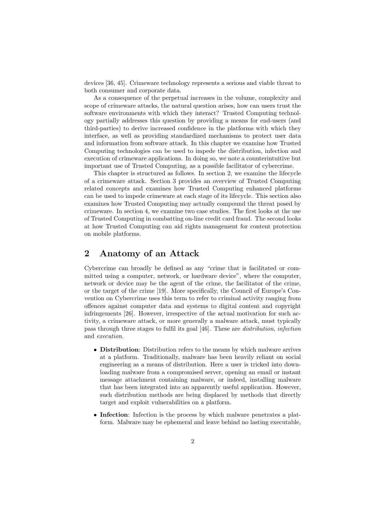devices [36, 45]. Crimeware technology represents a serious and viable threat to both consumer and corporate data.

As a consequence of the perpetual increases in the volume, complexity and scope of crimeware attacks, the natural question arises, how can users trust the software environments with which they interact? Trusted Computing technology partially addresses this question by providing a means for end-users (and third-parties) to derive increased confidence in the platforms with which they interface, as well as providing standardized mechanisms to protect user data and information from software attack. In this chapter we examine how Trusted Computing technologies can be used to impede the distribution, infection and execution of crimeware applications. In doing so, we note a counterintuitive but important use of Trusted Computing, as a possible facilitator of cybercrime.

This chapter is structured as follows. In section 2, we examine the lifecycle of a crimeware attack. Section 3 provides an overview of Trusted Computing related concepts and examines how Trusted Computing enhanced platforms can be used to impede crimeware at each stage of its lifecycle. This section also examines how Trusted Computing may actually compound the threat posed by crimeware. In section 4, we examine two case studies. The first looks at the use of Trusted Computing in combatting on-line credit card fraud. The second looks at how Trusted Computing can aid rights management for content protection on mobile platforms.

# 2 Anatomy of an Attack

Cybercrime can broadly be defined as any "crime that is facilitated or committed using a computer, network, or hardware device", where the computer, network or device may be the agent of the crime, the facilitator of the crime, or the target of the crime [19]. More specifically, the Council of Europe's Convention on Cybercrime uses this term to refer to criminal activity ranging from offences against computer data and systems to digital content and copyright infringements [26]. However, irrespective of the actual motivation for such activity, a crimeware attack, or more generally a malware attack, must typically pass through three stages to fulfil its goal [46]. These are distribution, infection and execution.

- Distribution: Distribution refers to the means by which malware arrives at a platform. Traditionally, malware has been heavily reliant on social engineering as a means of distribution. Here a user is tricked into downloading malware from a compromised server, opening an email or instant message attachment containing malware, or indeed, installing malware that has been integrated into an apparently useful application. However, such distribution methods are being displaced by methods that directly target and exploit vulnerabilities on a platform.
- Infection: Infection is the process by which malware penetrates a platform. Malware may be ephemeral and leave behind no lasting executable,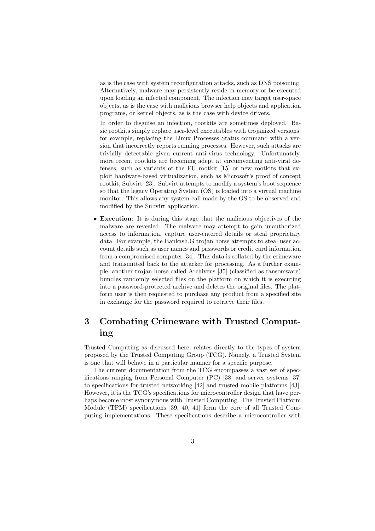as is the case with system reconfiguration attacks, such as DNS poisoning. Alternatively, malware may persistently reside in memory or be executed upon loading an infected component. The infection may target user-space objects, as is the case with malicious browser help objects and application programs, or kernel objects, as is the case with device drivers.

In order to disguise an infection, rootkits are sometimes deployed. Basic rootkits simply replace user-level executables with trojanized versions, for example, replacing the Linux Processes Status command with a version that incorrectly reports running processes. However, such attacks are trivially detectable given current anti-virus technology. Unfortunately, more recent rootkits are becoming adept at circumventing anti-viral defenses, such as variants of the FU rootkit [15] or new rootkits that exploit hardware-based virtualization, such as Microsoft's proof of concept rootkit, Subvirt [23]. Subvirt attempts to modify a system's boot sequence so that the legacy Operating System (OS) is loaded into a virtual machine monitor. This allows any system-call made by the OS to be observed and modified by the Subvirt application.

• Execution: It is during this stage that the malicious objectives of the malware are revealed. The malware may attempt to gain unauthorized access to information, capture user-entered details or steal proprietary data. For example, the Bankash.G trojan horse attempts to steal user account details such as user names and passwords or credit card information from a compromised computer [34]. This data is collated by the crimeware and transmitted back to the attacker for processing. As a further example, another trojan horse called Archiveus [35] (classified as ransomware) bundles randomly selected files on the platform on which it is executing into a password-protected archive and deletes the original files. The platform user is then requested to purchase any product from a specified site in exchange for the password required to retrieve their files.

# 3 Combating Crimeware with Trusted Computing

Trusted Computing as discussed here, relates directly to the types of system proposed by the Trusted Computing Group (TCG). Namely, a Trusted System is one that will behave in a particular manner for a specific purpose.

The current documentation from the TCG encompasses a vast set of specifications ranging from Personal Computer (PC) [38] and server systems [37] to specifications for trusted networking [42] and trusted mobile platforms [43]. However, it is the TCG's specifications for microcontroller design that have perhaps become most synonymous with Trusted Computing. The Trusted Platform Module (TPM) specifications [39, 40, 41] form the core of all Trusted Computing implementations. These specifications describe a microcontroller with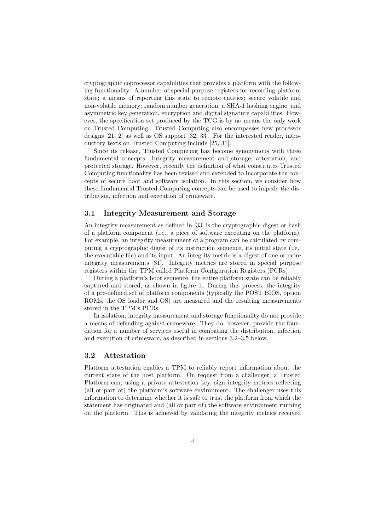cryptographic coprocessor capabilities that provides a platform with the following functionality: A number of special purpose registers for recording platform state; a means of reporting this state to remote entities; secure volatile and non-volatile memory; random number generation; a SHA-1 hashing engine; and asymmetric key generation, encryption and digital signature capabilities. However, the specification set produced by the TCG is by no means the only work on Trusted Computing. Trusted Computing also encompasses new processor designs [21, 2] as well as OS support [32, 33]. For the interested reader, introductory texts on Trusted Computing include [25, 31].

Since its release, Trusted Computing has become synonymous with three fundamental concepts: Integrity measurement and storage, attestation, and protected storage. However, recently the definition of what constitutes Trusted Computing functionality has been revised and extended to incorporate the concepts of secure boot and software isolation. In this section, we consider how these fundamental Trusted Computing concepts can be used to impede the distribution, infection and execution of crimeware.

### 3.1 Integrity Measurement and Storage

An integrity measurement as defined in [33] is the cryptographic digest or hash of a platform component (i.e., a piece of software executing on the platform). For example, an integrity measurement of a program can be calculated by computing a cryptographic digest of its instruction sequence, its initial state (i.e., the executable file) and its input. An integrity metric is a digest of one or more integrity measurements [31]. Integrity metrics are stored in special purpose registers within the TPM called Platform Configuration Registers (PCRs).

During a platform's boot sequence, the entire platform state can be reliably captured and stored, as shown in figure 1. During this process, the integrity of a pre-defined set of platform components (typically the POST BIOS, option ROMs, the OS loader and OS) are measured and the resulting measurements stored in the TPM's PCRs.

In isolation, integrity measurement and storage functionality do not provide a means of defending against crimeware. They do, however, provide the foundation for a number of services useful in combating the distribution, infection and execution of crimeware, as described in sections 3.2–3.5 below.

#### 3.2 Attestation

Platform attestation enables a TPM to reliably report information about the current state of the host platform. On request from a challenger, a Trusted Platform can, using a private attestation key, sign integrity metrics reflecting (all or part of) the platform's software environment. The challenger uses this information to determine whether it is safe to trust the platform from which the statement has originated and (all or part of) the software environment running on the platform. This is achieved by validating the integrity metrics received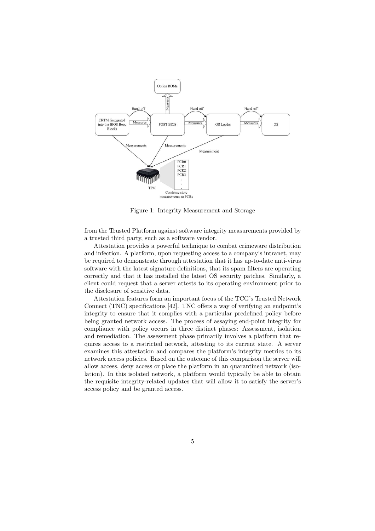

Figure 1: Integrity Measurement and Storage

from the Trusted Platform against software integrity measurements provided by a trusted third party, such as a software vendor.

Attestation provides a powerful technique to combat crimeware distribution and infection. A platform, upon requesting access to a company's intranet, may be required to demonstrate through attestation that it has up-to-date anti-virus software with the latest signature definitions, that its spam filters are operating correctly and that it has installed the latest OS security patches. Similarly, a client could request that a server attests to its operating environment prior to the disclosure of sensitive data.

Attestation features form an important focus of the TCG's Trusted Network Connect (TNC) specifications [42]. TNC offers a way of verifying an endpoint's integrity to ensure that it complies with a particular predefined policy before being granted network access. The process of assaying end-point integrity for compliance with policy occurs in three distinct phases: Assessment, isolation and remediation. The assessment phase primarily involves a platform that requires access to a restricted network, attesting to its current state. A server examines this attestation and compares the platform's integrity metrics to its network access policies. Based on the outcome of this comparison the server will allow access, deny access or place the platform in an quarantined network (isolation). In this isolated network, a platform would typically be able to obtain the requisite integrity-related updates that will allow it to satisfy the server's access policy and be granted access.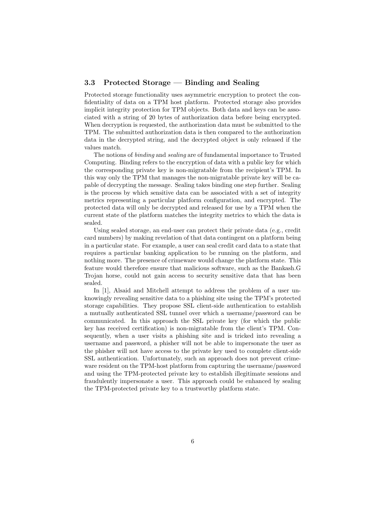#### 3.3 Protected Storage — Binding and Sealing

Protected storage functionality uses asymmetric encryption to protect the confidentiality of data on a TPM host platform. Protected storage also provides implicit integrity protection for TPM objects. Both data and keys can be associated with a string of 20 bytes of authorization data before being encrypted. When decryption is requested, the authorization data must be submitted to the TPM. The submitted authorization data is then compared to the authorization data in the decrypted string, and the decrypted object is only released if the values match.

The notions of binding and sealing are of fundamental importance to Trusted Computing. Binding refers to the encryption of data with a public key for which the corresponding private key is non-migratable from the recipient's TPM. In this way only the TPM that manages the non-migratable private key will be capable of decrypting the message. Sealing takes binding one step further. Sealing is the process by which sensitive data can be associated with a set of integrity metrics representing a particular platform configuration, and encrypted. The protected data will only be decrypted and released for use by a TPM when the current state of the platform matches the integrity metrics to which the data is sealed.

Using sealed storage, an end-user can protect their private data (e.g., credit card numbers) by making revelation of that data contingent on a platform being in a particular state. For example, a user can seal credit card data to a state that requires a particular banking application to be running on the platform, and nothing more. The presence of crimeware would change the platform state. This feature would therefore ensure that malicious software, such as the Bankash.G Trojan horse, could not gain access to security sensitive data that has been sealed.

In [1], Alsaid and Mitchell attempt to address the problem of a user unknowingly revealing sensitive data to a phishing site using the TPM's protected storage capabilities. They propose SSL client-side authentication to establish a mutually authenticated SSL tunnel over which a username/password can be communicated. In this approach the SSL private key (for which the public key has received certification) is non-migratable from the client's TPM. Consequently, when a user visits a phishing site and is tricked into revealing a username and password, a phisher will not be able to impersonate the user as the phisher will not have access to the private key used to complete client-side SSL authentication. Unfortunately, such an approach does not prevent crimeware resident on the TPM-host platform from capturing the username/password and using the TPM-protected private key to establish illegitimate sessions and fraudulently impersonate a user. This approach could be enhanced by sealing the TPM-protected private key to a trustworthy platform state.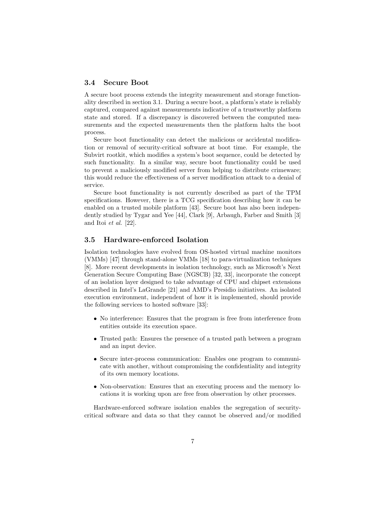#### 3.4 Secure Boot

A secure boot process extends the integrity measurement and storage functionality described in section 3.1. During a secure boot, a platform's state is reliably captured, compared against measurements indicative of a trustworthy platform state and stored. If a discrepancy is discovered between the computed measurements and the expected measurements then the platform halts the boot process.

Secure boot functionality can detect the malicious or accidental modification or removal of security-critical software at boot time. For example, the Subvirt rootkit, which modifies a system's boot sequence, could be detected by such functionality. In a similar way, secure boot functionality could be used to prevent a maliciously modified server from helping to distribute crimeware; this would reduce the effectiveness of a server modification attack to a denial of service.

Secure boot functionality is not currently described as part of the TPM specifications. However, there is a TCG specification describing how it can be enabled on a trusted mobile platform [43]. Secure boot has also been independently studied by Tygar and Yee [44], Clark [9], Arbaugh, Farber and Smith [3] and Itoi et al. [22].

### 3.5 Hardware-enforced Isolation

Isolation technologies have evolved from OS-hosted virtual machine monitors (VMMs) [47] through stand-alone VMMs [18] to para-virtualization techniques [8]. More recent developments in isolation technology, such as Microsoft's Next Generation Secure Computing Base (NGSCB) [32, 33], incorporate the concept of an isolation layer designed to take advantage of CPU and chipset extensions described in Intel's LaGrande [21] and AMD's Presidio initiatives. An isolated execution environment, independent of how it is implemented, should provide the following services to hosted software [33]:

- No interference: Ensures that the program is free from interference from entities outside its execution space.
- Trusted path: Ensures the presence of a trusted path between a program and an input device.
- Secure inter-process communication: Enables one program to communicate with another, without compromising the confidentiality and integrity of its own memory locations.
- Non-observation: Ensures that an executing process and the memory locations it is working upon are free from observation by other processes.

Hardware-enforced software isolation enables the segregation of securitycritical software and data so that they cannot be observed and/or modified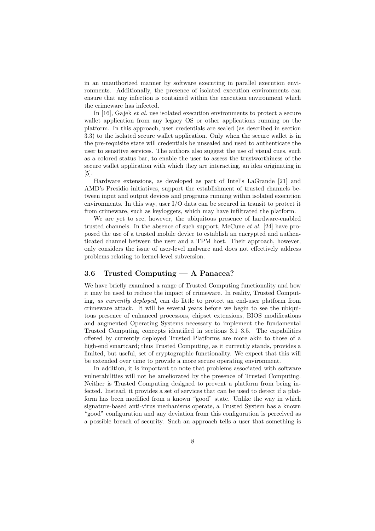in an unauthorized manner by software executing in parallel execution environments. Additionally, the presence of isolated execution environments can ensure that any infection is contained within the execution environment which the crimeware has infected.

In [16], Gajek *et al.* use isolated execution environments to protect a secure wallet application from any legacy OS or other applications running on the platform. In this approach, user credentials are sealed (as described in section 3.3) to the isolated secure wallet application. Only when the secure wallet is in the pre-requisite state will credentials be unsealed and used to authenticate the user to sensitive services. The authors also suggest the use of visual cues, such as a colored status bar, to enable the user to assess the trustworthiness of the secure wallet application with which they are interacting, an idea originating in [5].

Hardware extensions, as developed as part of Intel's LaGrande [21] and AMD's Presidio initiatives, support the establishment of trusted channels between input and output devices and programs running within isolated execution environments. In this way, user I/O data can be secured in transit to protect it from crimeware, such as keyloggers, which may have infiltrated the platform.

We are yet to see, however, the ubiquitous presence of hardware-enabled trusted channels. In the absence of such support, McCune et al. [24] have proposed the use of a trusted mobile device to establish an encrypted and authenticated channel between the user and a TPM host. Their approach, however, only considers the issue of user-level malware and does not effectively address problems relating to kernel-level subversion.

## 3.6 Trusted Computing — A Panacea?

We have briefly examined a range of Trusted Computing functionality and how it may be used to reduce the impact of crimeware. In reality, Trusted Computing, as currently deployed, can do little to protect an end-user platform from crimeware attack. It will be several years before we begin to see the ubiquitous presence of enhanced processors, chipset extensions, BIOS modifications and augmented Operating Systems necessary to implement the fundamental Trusted Computing concepts identified in sections 3.1–3.5. The capabilities offered by currently deployed Trusted Platforms are more akin to those of a high-end smartcard; thus Trusted Computing, as it currently stands, provides a limited, but useful, set of cryptographic functionality. We expect that this will be extended over time to provide a more secure operating environment.

In addition, it is important to note that problems associated with software vulnerabilities will not be ameliorated by the presence of Trusted Computing. Neither is Trusted Computing designed to prevent a platform from being infected. Instead, it provides a set of services that can be used to detect if a platform has been modified from a known "good" state. Unlike the way in which signature-based anti-virus mechanisms operate, a Trusted System has a known "good" configuration and any deviation from this configuration is perceived as a possible breach of security. Such an approach tells a user that something is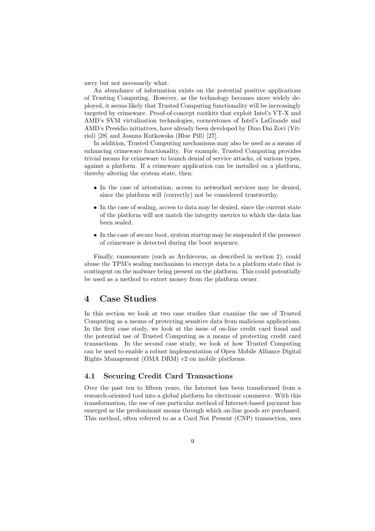awry but not necessarily what.

An abundance of information exists on the potential positive applications of Trusting Computing. However, as the technology becomes more widely deployed, it seems likely that Trusted Computing functionality will be increasingly targeted by crimeware. Proof-of-concept rootkits that exploit Intel's VT-X and AMD's SVM virtulization technologies, cornerstones of Intel's LaGrande and AMD's Presidio initiatives, have already been developed by Dino Dai Zovi (Vitriol) [28] and Joanna Rutkowska (Blue Pill) [27].

In addition, Trusted Computing mechanisms may also be used as a means of enhancing crimeware functionality. For example, Trusted Computing provides trivial means for crimeware to launch denial of service attacks, of various types, against a platform. If a crimeware application can be installed on a platform, thereby altering the system state, then:

- In the case of attestation, access to networked services may be denied, since the platform will (correctly) not be considered trustworthy.
- In the case of sealing, access to data may be denied, since the current state of the platform will not match the integrity metrics to which the data has been sealed.
- In the case of secure boot, system startup may be suspended if the presence of crimeware is detected during the boot sequence.

Finally, ransomware (such as Archieveus, as described in section 2), could abuse the TPM's sealing mechanism to encrypt data to a platform state that is contingent on the malware being present on the platform. This could potentially be used as a method to extort money from the platform owner.

## 4 Case Studies

In this section we look at two case studies that examine the use of Trusted Computing as a means of protecting sensitive data from malicious applications. In the first case study, we look at the issue of on-line credit card fraud and the potential use of Trusted Computing as a means of protecting credit card transactions. In the second case study, we look at how Trusted Computing can be used to enable a robust implementation of Open Mobile Alliance Digital Rights Management (OMA DRM) v2 on mobile platforms.

## 4.1 Securing Credit Card Transactions

Over the past ten to fifteen years, the Internet has been transformed from a research-oriented tool into a global platform for electronic commerce. With this transformation, the use of one particular method of Internet-based payment has emerged as the predominant means through which on-line goods are purchased. This method, often referred to as a Card Not Present (CNP) transaction, uses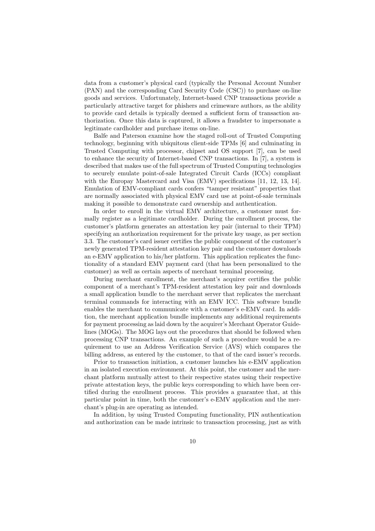data from a customer's physical card (typically the Personal Account Number (PAN) and the corresponding Card Security Code (CSC)) to purchase on-line goods and services. Unfortunately, Internet-based CNP transactions provide a particularly attractive target for phishers and crimeware authors, as the ability to provide card details is typically deemed a sufficient form of transaction authorization. Once this data is captured, it allows a fraudster to impersonate a legitimate cardholder and purchase items on-line.

Balfe and Paterson examine how the staged roll-out of Trusted Computing technology, beginning with ubiquitous client-side TPMs [6] and culminating in Trusted Computing with processor, chipset and OS support [7], can be used to enhance the security of Internet-based CNP transactions. In [7], a system is described that makes use of the full spectrum of Trusted Computing technologies to securely emulate point-of-sale Integrated Circuit Cards (ICCs) compliant with the Europay Mastercard and Visa (EMV) specifications [11, 12, 13, 14]. Emulation of EMV-compliant cards confers "tamper resistant" properties that are normally associated with physical EMV card use at point-of-sale terminals making it possible to demonstrate card ownership and authentication.

In order to enroll in the virtual EMV architecture, a customer must formally register as a legitimate cardholder. During the enrollment process, the customer's platform generates an attestation key pair (internal to their TPM) specifying an authorization requirement for the private key usage, as per section 3.3. The customer's card issuer certifies the public component of the customer's newly generated TPM-resident attestation key pair and the customer downloads an e-EMV application to his/her platform. This application replicates the functionality of a standard EMV payment card (that has been personalized to the customer) as well as certain aspects of merchant terminal processing.

During merchant enrollment, the merchant's acquirer certifies the public component of a merchant's TPM-resident attestation key pair and downloads a small application bundle to the merchant server that replicates the merchant terminal commands for interacting with an EMV ICC. This software bundle enables the merchant to communicate with a customer's e-EMV card. In addition, the merchant application bundle implements any additional requirements for payment processing as laid down by the acquirer's Merchant Operator Guidelines (MOGs). The MOG lays out the procedures that should be followed when processing CNP transactions. An example of such a procedure would be a requirement to use an Address Verification Service (AVS) which compares the billing address, as entered by the customer, to that of the card issuer's records.

Prior to transaction initiation, a customer launches his e-EMV application in an isolated execution environment. At this point, the customer and the merchant platform mutually attest to their respective states using their respective private attestation keys, the public keys corresponding to which have been certified during the enrollment process. This provides a guarantee that, at this particular point in time, both the customer's e-EMV application and the merchant's plug-in are operating as intended.

In addition, by using Trusted Computing functionality, PIN authentication and authorization can be made intrinsic to transaction processing, just as with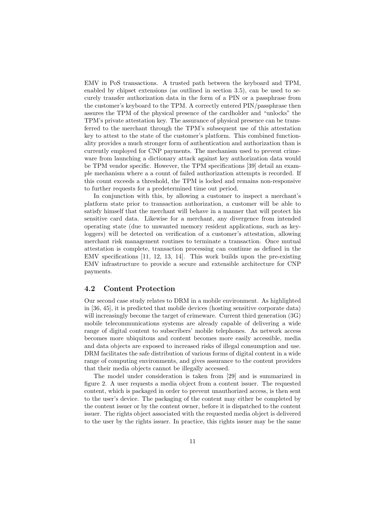EMV in PoS transactions. A trusted path between the keyboard and TPM, enabled by chipset extensions (as outlined in section 3.5), can be used to securely transfer authorization data in the form of a PIN or a passphrase from the customer's keyboard to the TPM. A correctly entered PIN/passphrase then assures the TPM of the physical presence of the cardholder and "unlocks" the TPM's private attestation key. The assurance of physical presence can be transferred to the merchant through the TPM's subsequent use of this attestation key to attest to the state of the customer's platform. This combined functionality provides a much stronger form of authentication and authorization than is currently employed for CNP payments. The mechanism used to prevent crimeware from launching a dictionary attack against key authorization data would be TPM vendor specific. However, the TPM specifications [39] detail an example mechanism where a a count of failed authorization attempts is recorded. If this count exceeds a threshold, the TPM is locked and remains non-responsive to further requests for a predetermined time out period.

In conjunction with this, by allowing a customer to inspect a merchant's platform state prior to transaction authorization, a customer will be able to satisfy himself that the merchant will behave in a manner that will protect his sensitive card data. Likewise for a merchant, any divergence from intended operating state (due to unwanted memory resident applications, such as keyloggers) will be detected on verification of a customer's attestation, allowing merchant risk management routines to terminate a transaction. Once mutual attestation is complete, transaction processing can continue as defined in the EMV specifications [11, 12, 13, 14]. This work builds upon the pre-existing EMV infrastructure to provide a secure and extensible architecture for CNP payments.

#### 4.2 Content Protection

Our second case study relates to DRM in a mobile environment. As highlighted in [36, 45], it is predicted that mobile devices (hosting sensitive corporate data) will increasingly become the target of crimeware. Current third generation (3G) mobile telecommunications systems are already capable of delivering a wide range of digital content to subscribers' mobile telephones. As network access becomes more ubiquitous and content becomes more easily accessible, media and data objects are exposed to increased risks of illegal consumption and use. DRM facilitates the safe distribution of various forms of digital content in a wide range of computing environments, and gives assurance to the content providers that their media objects cannot be illegally accessed.

The model under consideration is taken from [29] and is summarized in figure 2. A user requests a media object from a content issuer. The requested content, which is packaged in order to prevent unauthorized access, is then sent to the user's device. The packaging of the content may either be completed by the content issuer or by the content owner, before it is dispatched to the content issuer. The rights object associated with the requested media object is delivered to the user by the rights issuer. In practice, this rights issuer may be the same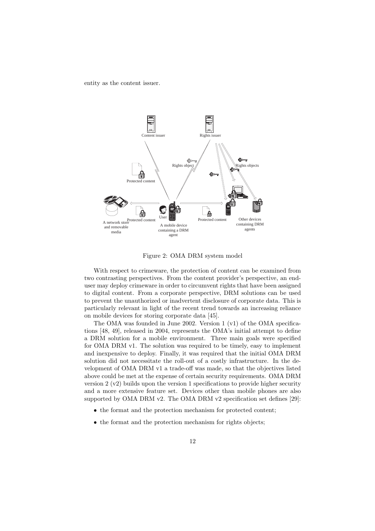entity as the content issuer.



Figure 2: OMA DRM system model

With respect to crimeware, the protection of content can be examined from two contrasting perspectives. From the content provider's perspective, an enduser may deploy crimeware in order to circumvent rights that have been assigned to digital content. From a corporate perspective, DRM solutions can be used to prevent the unauthorized or inadvertent disclosure of corporate data. This is particularly relevant in light of the recent trend towards an increasing reliance on mobile devices for storing corporate data [45].

The OMA was founded in June 2002. Version 1 (v1) of the OMA specifications [48, 49], released in 2004, represents the OMA's initial attempt to define a DRM solution for a mobile environment. Three main goals were specified for OMA DRM v1. The solution was required to be timely, easy to implement and inexpensive to deploy. Finally, it was required that the initial OMA DRM solution did not necessitate the roll-out of a costly infrastructure. In the development of OMA DRM v1 a trade-off was made, so that the objectives listed above could be met at the expense of certain security requirements. OMA DRM version 2 (v2) builds upon the version 1 specifications to provide higher security and a more extensive feature set. Devices other than mobile phones are also supported by OMA DRM v2. The OMA DRM v2 specification set defines [29]:

- the format and the protection mechanism for protected content;
- the format and the protection mechanism for rights objects;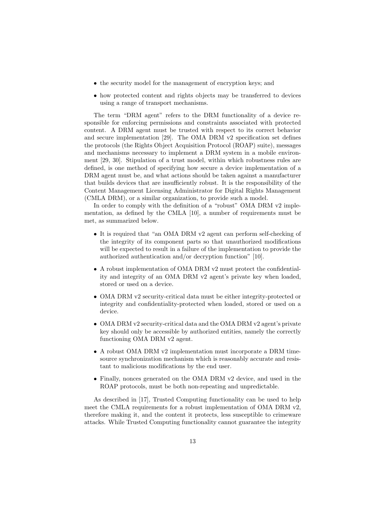- the security model for the management of encryption keys; and
- how protected content and rights objects may be transferred to devices using a range of transport mechanisms.

The term "DRM agent" refers to the DRM functionality of a device responsible for enforcing permissions and constraints associated with protected content. A DRM agent must be trusted with respect to its correct behavior and secure implementation [29]. The OMA DRM v2 specification set defines the protocols (the Rights Object Acquisition Protocol (ROAP) suite), messages and mechanisms necessary to implement a DRM system in a mobile environment [29, 30]. Stipulation of a trust model, within which robustness rules are defined, is one method of specifying how secure a device implementation of a DRM agent must be, and what actions should be taken against a manufacturer that builds devices that are insufficiently robust. It is the responsibility of the Content Management Licensing Administrator for Digital Rights Management (CMLA DRM), or a similar organization, to provide such a model.

In order to comply with the definition of a "robust" OMA DRM v2 implementation, as defined by the CMLA [10], a number of requirements must be met, as summarized below.

- It is required that "an OMA DRM v2 agent can perform self-checking of the integrity of its component parts so that unauthorized modifications will be expected to result in a failure of the implementation to provide the authorized authentication and/or decryption function" [10].
- A robust implementation of OMA DRM v2 must protect the confidentiality and integrity of an OMA DRM v2 agent's private key when loaded, stored or used on a device.
- OMA DRM v2 security-critical data must be either integrity-protected or integrity and confidentiality-protected when loaded, stored or used on a device.
- OMA DRM v2 security-critical data and the OMA DRM v2 agent's private key should only be accessible by authorized entities, namely the correctly functioning OMA DRM v2 agent.
- A robust OMA DRM v2 implementation must incorporate a DRM timesource synchronization mechanism which is reasonably accurate and resistant to malicious modifications by the end user.
- Finally, nonces generated on the OMA DRM v2 device, and used in the ROAP protocols, must be both non-repeating and unpredictable.

As described in [17], Trusted Computing functionality can be used to help meet the CMLA requirements for a robust implementation of OMA DRM v2, therefore making it, and the content it protects, less susceptible to crimeware attacks. While Trusted Computing functionality cannot guarantee the integrity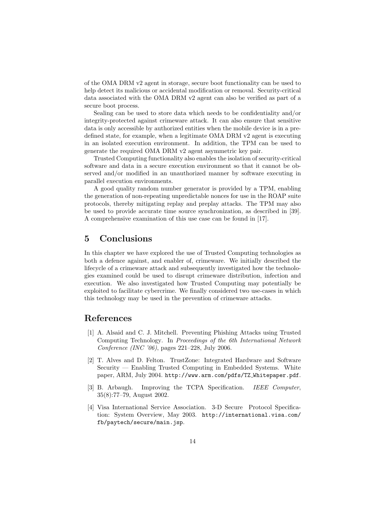of the OMA DRM v2 agent in storage, secure boot functionality can be used to help detect its malicious or accidental modification or removal. Security-critical data associated with the OMA DRM v2 agent can also be verified as part of a secure boot process.

Sealing can be used to store data which needs to be confidentiality and/or integrity-protected against crimeware attack. It can also ensure that sensitive data is only accessible by authorized entities when the mobile device is in a predefined state, for example, when a legitimate OMA DRM v2 agent is executing in an isolated execution environment. In addition, the TPM can be used to generate the required OMA DRM v2 agent asymmetric key pair.

Trusted Computing functionality also enables the isolation of security-critical software and data in a secure execution environment so that it cannot be observed and/or modified in an unauthorized manner by software executing in parallel execution environments.

A good quality random number generator is provided by a TPM, enabling the generation of non-repeating unpredictable nonces for use in the ROAP suite protocols, thereby mitigating replay and preplay attacks. The TPM may also be used to provide accurate time source synchronization, as described in [39]. A comprehensive examination of this use case can be found in [17].

# 5 Conclusions

In this chapter we have explored the use of Trusted Computing technologies as both a defence against, and enabler of, crimeware. We initially described the lifecycle of a crimeware attack and subsequently investigated how the technologies examined could be used to disrupt crimeware distribution, infection and execution. We also investigated how Trusted Computing may potentially be exploited to facilitate cybercrime. We finally considered two use-cases in which this technology may be used in the prevention of crimeware attacks.

## References

- [1] A. Alsaid and C. J. Mitchell. Preventing Phishing Attacks using Trusted Computing Technology. In Proceedings of the 6th International Network Conference (INC '06), pages 221–228, July 2006.
- [2] T. Alves and D. Felton. TrustZone: Integrated Hardware and Software Security — Enabling Trusted Computing in Embedded Systems. White paper, ARM, July 2004. http://www.arm.com/pdfs/TZ Whitepaper.pdf.
- [3] B. Arbaugh. Improving the TCPA Specification. IEEE Computer, 35(8):77–79, August 2002.
- [4] Visa International Service Association. 3-D Secure Protocol Specification: System Overview, May 2003. http://international.visa.com/ fb/paytech/secure/main.jsp.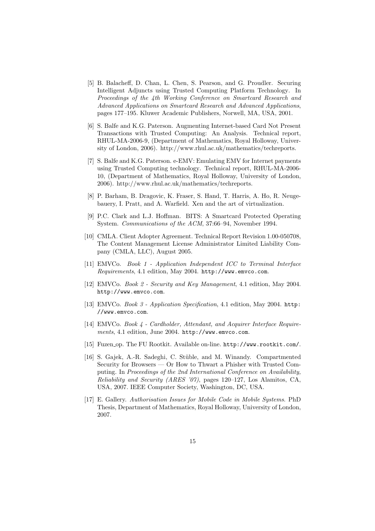- [5] B. Balacheff, D. Chan, L. Chen, S. Pearson, and G. Proudler. Securing Intelligent Adjuncts using Trusted Computing Platform Technology. In Proceedings of the 4th Working Conference on Smartcard Research and Advanced Applications on Smartcard Research and Advanced Applications, pages 177–195. Kluwer Academic Publishers, Norwell, MA, USA, 2001.
- [6] S. Balfe and K.G. Paterson. Augmenting Internet-based Card Not Present Transactions with Trusted Computing: An Analysis. Technical report, RHUL-MA-2006-9, (Department of Mathematics, Royal Holloway, University of London, 2006). http://www.rhul.ac.uk/mathematics/techreports.
- [7] S. Balfe and K.G. Paterson. e-EMV: Emulating EMV for Internet payments using Trusted Computing technology. Technical report, RHUL-MA-2006- 10, (Department of Mathematics, Royal Holloway, University of London, 2006). http://www.rhul.ac.uk/mathematics/techreports.
- [8] P. Barham, B. Dragovic, K. Fraser, S. Hand, T. Harris, A. Ho, R. Neugebauery, I. Pratt, and A. Warfield. Xen and the art of virtualization.
- [9] P.C. Clark and L.J. Hoffman. BITS: A Smartcard Protected Operating System. Communications of the ACM, 37:66–94, November 1994.
- [10] CMLA. Client Adopter Agreement. Technical Report Revision 1.00-050708, The Content Management License Administrator Limited Liability Company (CMLA, LLC), August 2005.
- [11] EMVCo. Book 1 Application Independent ICC to Terminal Interface Requirements, 4.1 edition, May 2004. http://www.emvco.com.
- [12] EMVCo. Book 2 Security and Key Management, 4.1 edition, May 2004. http://www.emvco.com.
- [13] EMVCo. Book 3 Application Specification, 4.1 edition, May 2004. http: //www.emvco.com.
- [14] EMVCo. Book 4 Cardholder, Attendant, and Acquirer Interface Requirements, 4.1 edition, June 2004. http://www.emvco.com.
- [15] Fuzen op. The FU Rootkit. Available on-line. http://www.rootkit.com/.
- [16] S. Gajek, A.-R. Sadeghi, C. Stüble, and M. Winandy. Compartmented Security for Browsers — Or How to Thwart a Phisher with Trusted Computing. In Proceedings of the 2nd International Conference on Availability, Reliability and Security (ARES '07), pages 120–127, Los Alamitos, CA, USA, 2007. IEEE Computer Society, Washington, DC, USA.
- [17] E. Gallery. Authorisation Issues for Mobile Code in Mobile Systems. PhD Thesis, Department of Mathematics, Royal Holloway, University of London, 2007.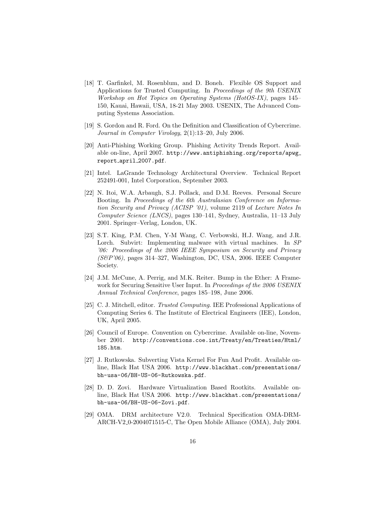- [18] T. Garfinkel, M. Rosenblum, and D. Boneh. Flexible OS Support and Applications for Trusted Computing. In Proceedings of the 9th USENIX Workshop on Hot Topics on Operating Systems (HotOS-IX), pages 145– 150, Kauai, Hawaii, USA, 18-21 May 2003. USENIX, The Advanced Computing Systems Association.
- [19] S. Gordon and R. Ford. On the Definition and Classification of Cybercrime. Journal in Computer Virology, 2(1):13–20, July 2006.
- [20] Anti-Phishing Working Group. Phishing Activity Trends Report. Available on-line, April 2007. http://www.antiphishing.org/reports/apwg report april 2007.pdf.
- [21] Intel. LaGrande Technology Architectural Overview. Technical Report 252491-001, Intel Corporation, September 2003.
- [22] N. Itoi, W.A. Arbaugh, S.J. Pollack, and D.M. Reeves. Personal Secure Booting. In Proceedings of the 6th Australasian Conference on Information Security and Privacy (ACISP '01), volume 2119 of Lecture Notes In Computer Science (LNCS), pages 130–141, Sydney, Australia, 11–13 July 2001. Springer–Verlag, London, UK.
- [23] S.T. King, P.M. Chen, Y-M Wang, C. Verbowski, H.J. Wang, and J.R. Lorch. Subvirt: Implementing malware with virtual machines. In SP '06: Proceedings of the 2006 IEEE Symposium on Security and Privacy (S&P'06), pages 314–327, Washington, DC, USA, 2006. IEEE Computer Society.
- [24] J.M. McCune, A. Perrig, and M.K. Reiter. Bump in the Ether: A Framework for Securing Sensitive User Input. In Proceedings of the 2006 USENIX Annual Technical Conference, pages 185–198, June 2006.
- [25] C. J. Mitchell, editor. Trusted Computing. IEE Professional Applications of Computing Series 6. The Institute of Electrical Engineers (IEE), London, UK, April 2005.
- [26] Council of Europe. Convention on Cybercrime. Available on-line, November 2001. http://conventions.coe.int/Treaty/en/Treaties/Html/ 185.htm.
- [27] J. Rutkowska. Subverting Vista Kernel For Fun And Profit. Available online, Black Hat USA 2006. http://www.blackhat.com/presentations/ bh-usa-06/BH-US-06-Rutkowska.pdf.
- [28] D. D. Zovi. Hardware Virtualization Based Rootkits. Available online, Black Hat USA 2006. http://www.blackhat.com/presentations/ bh-usa-06/BH-US-06-Zovi.pdf.
- [29] OMA. DRM architecture V2.0. Technical Specification OMA-DRM-ARCH-V2 0-2004071515-C, The Open Mobile Alliance (OMA), July 2004.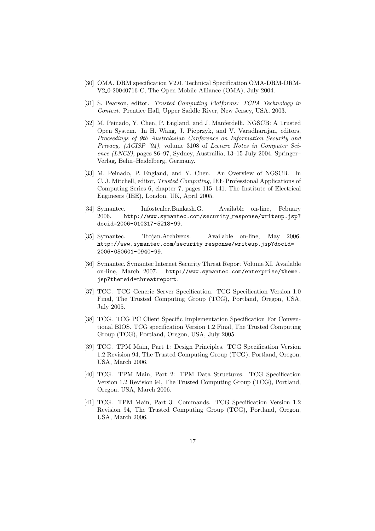- [30] OMA. DRM specification V2.0. Technical Specification OMA-DRM-DRM-V2 0-20040716-C, The Open Mobile Alliance (OMA), July 2004.
- [31] S. Pearson, editor. Trusted Computing Platforms: TCPA Technology in Context. Prentice Hall, Upper Saddle River, New Jersey, USA, 2003.
- [32] M. Peinado, Y. Chen, P. England, and J. Manferdelli. NGSCB: A Trusted Open System. In H. Wang, J. Pieprzyk, and V. Varadharajan, editors, Proceedings of 9th Australasian Conference on Information Security and Privacy, (ACISP '04), volume 3108 of Lecture Notes in Computer Science (LNCS), pages 86–97, Sydney, Austrailia, 13–15 July 2004. Springer– Verlag, Belin–Heidelberg, Germany.
- [33] M. Peinado, P. England, and Y. Chen. An Overview of NGSCB. In C. J. Mitchell, editor, Trusted Computing, IEE Professional Applications of Computing Series 6, chapter 7, pages 115–141. The Institute of Electrical Engineers (IEE), London, UK, April 2005.
- [34] Symantec. Infostealer.Bankash.G. Available on-line, Febuary 2006. http://www.symantec.com/security response/writeup.jsp? docid=2006-010317-5218-99.
- [35] Symantec. Trojan.Archiveus. Available on-line, May 2006. http://www.symantec.com/security\_response/writeup.jsp?docid= 2006-050601-0940-99.
- [36] Symantec. Symantec Internet Security Threat Report Volume XI. Available on-line, March 2007. http://www.symantec.com/enterprise/theme. jsp?themeid=threatreport.
- [37] TCG. TCG Generic Server Specification. TCG Specification Version 1.0 Final, The Trusted Computing Group (TCG), Portland, Oregon, USA, July 2005.
- [38] TCG. TCG PC Client Specific Implementation Specification For Conventional BIOS. TCG specification Version 1.2 Final, The Trusted Computing Group (TCG), Portland, Oregon, USA, July 2005.
- [39] TCG. TPM Main, Part 1: Design Principles. TCG Specification Version 1.2 Revision 94, The Trusted Computing Group (TCG), Portland, Oregon, USA, March 2006.
- [40] TCG. TPM Main, Part 2: TPM Data Structures. TCG Specification Version 1.2 Revision 94, The Trusted Computing Group (TCG), Portland, Oregon, USA, March 2006.
- [41] TCG. TPM Main, Part 3: Commands. TCG Specification Version 1.2 Revision 94, The Trusted Computing Group (TCG), Portland, Oregon, USA, March 2006.